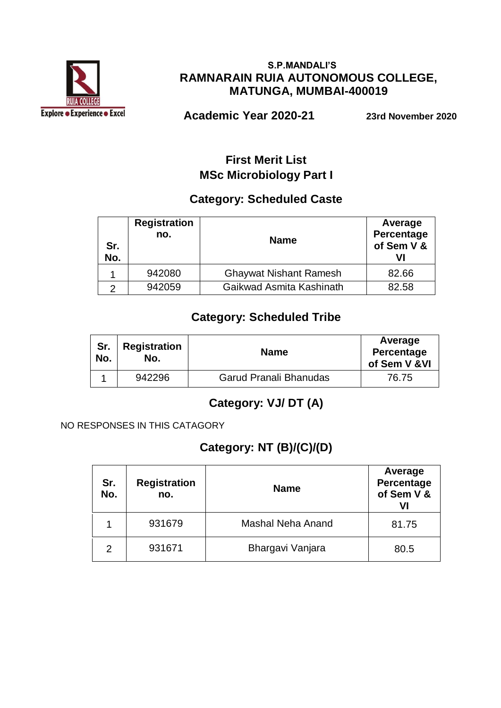

#### **S.P.MANDALI'S RAMNARAIN RUIA AUTONOMOUS COLLEGE, MATUNGA, MUMBAI-400019**

 **Academic Year 2020-21 23rd November 2020**

#### **First Merit List MSc Microbiology Part I**

#### **Category: Scheduled Caste**

| Sr.<br>No. | <b>Registration</b><br>no. | <b>Name</b>                   | Average<br>Percentage<br>of Sem V & |
|------------|----------------------------|-------------------------------|-------------------------------------|
|            | 942080                     | <b>Ghaywat Nishant Ramesh</b> | 82.66                               |
|            | 942059                     | Gaikwad Asmita Kashinath      | 82.58                               |

#### **Category: Scheduled Tribe**

| Sr.<br>No. | <b>Registration</b><br>No. | <b>Name</b>            | Average<br>Percentage<br>of Sem V & VI |
|------------|----------------------------|------------------------|----------------------------------------|
|            | 942296                     | Garud Pranali Bhanudas | 76.75                                  |

#### **Category: VJ/ DT (A)**

NO RESPONSES IN THIS CATAGORY

### **Category: NT (B)/(C)/(D)**

| Sr.<br>No.    | <b>Registration</b><br>no. | <b>Name</b>       | Average<br>Percentage<br>of Sem V &<br>VI |
|---------------|----------------------------|-------------------|-------------------------------------------|
|               | 931679                     | Mashal Neha Anand | 81.75                                     |
| $\mathcal{P}$ | 931671                     | Bhargavi Vanjara  | 80.5                                      |